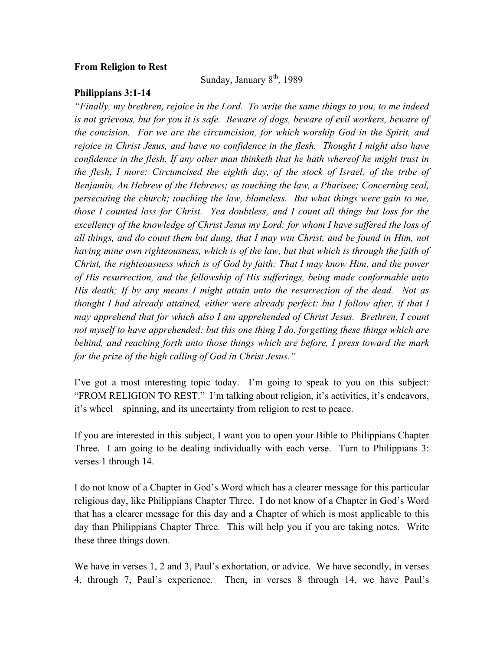## **From Religion to Rest**

Sunday, January  $8<sup>th</sup>$ , 1989

## **Philippians 3:1-14**

*"Finally, my brethren, rejoice in the Lord. To write the same things to you, to me indeed is not grievous, but for you it is safe. Beware of dogs, beware of evil workers, beware of the concision. For we are the circumcision, for which worship God in the Spirit, and rejoice in Christ Jesus, and have no confidence in the flesh. Thought I might also have confidence in the flesh. If any other man thinketh that he hath whereof he might trust in the flesh, I more: Circumcised the eighth day, of the stock of Israel, of the tribe of Benjamin, An Hebrew of the Hebrews; as touching the law, a Pharisee; Concerning zeal, persecuting the church; touching the law, blameless. But what things were gain to me, those I counted loss for Christ. Yea doubtless, and I count all things but loss for the excellency of the knowledge of Christ Jesus my Lord: for whom I have suffered the loss of all things, and do count them but dung, that I may win Christ, and be found in Him, not having mine own righteousness, which is of the law, but that which is through the faith of Christ, the righteousness which is of God by faith: That I may know Him, and the power of His resurrection, and the fellowship of His sufferings, being made conformable unto His death; If by any means I might attain unto the resurrection of the dead. Not as thought I had already attained, either were already perfect: but I follow after, if that I may apprehend that for which also I am apprehended of Christ Jesus. Brethren, I count not myself to have apprehended: but this one thing I do, forgetting these things which are behind, and reaching forth unto those things which are before, I press toward the mark for the prize of the high calling of God in Christ Jesus."*

I've got a most interesting topic today. I'm going to speak to you on this subject: "FROM RELIGION TO REST." I'm talking about religion, it's activities, it's endeavors, it's wheel spinning, and its uncertainty from religion to rest to peace.

If you are interested in this subject, I want you to open your Bible to Philippians Chapter Three. I am going to be dealing individually with each verse. Turn to Philippians 3: verses 1 through 14.

I do not know of a Chapter in God's Word which has a clearer message for this particular religious day, like Philippians Chapter Three. I do not know of a Chapter in God's Word that has a clearer message for this day and a Chapter of which is most applicable to this day than Philippians Chapter Three. This will help you if you are taking notes. Write these three things down.

We have in verses 1, 2 and 3, Paul's exhortation, or advice. We have secondly, in verses 4, through 7, Paul's experience. Then, in verses 8 through 14, we have Paul's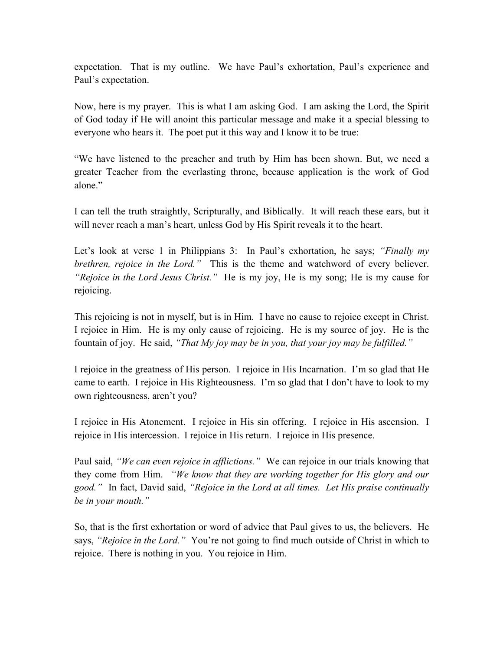expectation. That is my outline. We have Paul's exhortation, Paul's experience and Paul's expectation.

Now, here is my prayer. This is what I am asking God. I am asking the Lord, the Spirit of God today if He will anoint this particular message and make it a special blessing to everyone who hears it. The poet put it this way and I know it to be true:

"We have listened to the preacher and truth by Him has been shown. But, we need a greater Teacher from the everlasting throne, because application is the work of God alone."

I can tell the truth straightly, Scripturally, and Biblically. It will reach these ears, but it will never reach a man's heart, unless God by His Spirit reveals it to the heart.

Let's look at verse 1 in Philippians 3: In Paul's exhortation, he says; *"Finally my brethren, rejoice in the Lord."* This is the theme and watchword of every believer. *"Rejoice in the Lord Jesus Christ."* He is my joy, He is my song; He is my cause for rejoicing.

This rejoicing is not in myself, but is in Him. I have no cause to rejoice except in Christ. I rejoice in Him. He is my only cause of rejoicing. He is my source of joy. He is the fountain of joy. He said, *"That My joy may be in you, that your joy may be fulfilled."*

I rejoice in the greatness of His person. I rejoice in His Incarnation. I'm so glad that He came to earth. I rejoice in His Righteousness. I'm so glad that I don't have to look to my own righteousness, aren't you?

I rejoice in His Atonement. I rejoice in His sin offering. I rejoice in His ascension. I rejoice in His intercession. I rejoice in His return. I rejoice in His presence.

Paul said, *"We can even rejoice in afflictions."* We can rejoice in our trials knowing that they come from Him. *"We know that they are working together for His glory and our good."* In fact, David said, *"Rejoice in the Lord at all times. Let His praise continually be in your mouth."*

So, that is the first exhortation or word of advice that Paul gives to us, the believers. He says, *"Rejoice in the Lord."* You're not going to find much outside of Christ in which to rejoice. There is nothing in you. You rejoice in Him.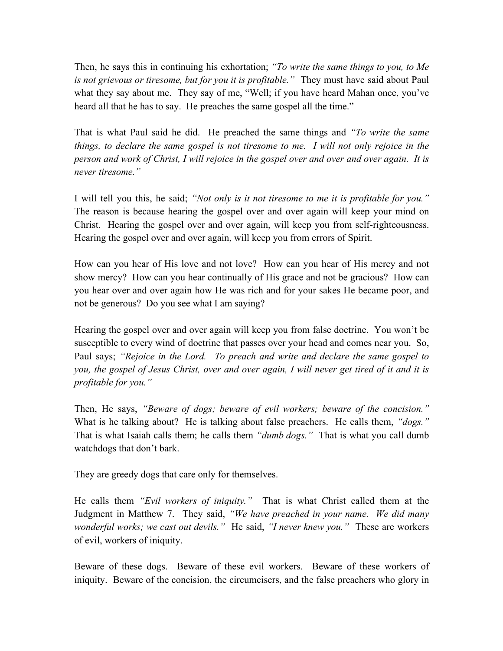Then, he says this in continuing his exhortation; *"To write the same things to you, to Me is not grievous or tiresome, but for you it is profitable."* They must have said about Paul what they say about me. They say of me, "Well; if you have heard Mahan once, you've heard all that he has to say. He preaches the same gospel all the time."

That is what Paul said he did. He preached the same things and *"To write the same things, to declare the same gospel is not tiresome to me. I will not only rejoice in the person and work of Christ, I will rejoice in the gospel over and over and over again. It is never tiresome."* 

I will tell you this, he said; *"Not only is it not tiresome to me it is profitable for you."* The reason is because hearing the gospel over and over again will keep your mind on Christ. Hearing the gospel over and over again, will keep you from self-righteousness. Hearing the gospel over and over again, will keep you from errors of Spirit.

How can you hear of His love and not love? How can you hear of His mercy and not show mercy? How can you hear continually of His grace and not be gracious? How can you hear over and over again how He was rich and for your sakes He became poor, and not be generous? Do you see what I am saying?

Hearing the gospel over and over again will keep you from false doctrine. You won't be susceptible to every wind of doctrine that passes over your head and comes near you. So, Paul says; *"Rejoice in the Lord. To preach and write and declare the same gospel to you, the gospel of Jesus Christ, over and over again, I will never get tired of it and it is profitable for you."* 

Then, He says, *"Beware of dogs; beware of evil workers; beware of the concision."* What is he talking about? He is talking about false preachers. He calls them, *"dogs."* That is what Isaiah calls them; he calls them *"dumb dogs."* That is what you call dumb watchdogs that don't bark.

They are greedy dogs that care only for themselves.

He calls them *"Evil workers of iniquity."* That is what Christ called them at the Judgment in Matthew 7. They said, *"We have preached in your name. We did many wonderful works; we cast out devils."* He said, *"I never knew you."* These are workers of evil, workers of iniquity.

Beware of these dogs. Beware of these evil workers. Beware of these workers of iniquity. Beware of the concision, the circumcisers, and the false preachers who glory in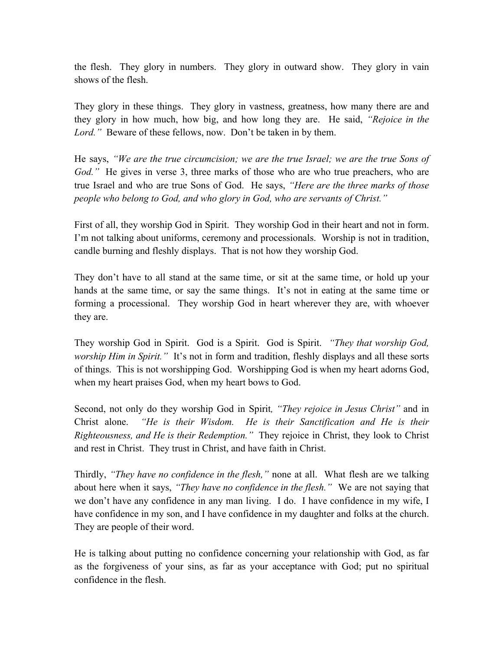the flesh. They glory in numbers. They glory in outward show. They glory in vain shows of the flesh.

They glory in these things. They glory in vastness, greatness, how many there are and they glory in how much, how big, and how long they are. He said, *"Rejoice in the Lord."* Beware of these fellows, now. Don't be taken in by them.

He says, *"We are the true circumcision; we are the true Israel; we are the true Sons of God.*" He gives in verse 3, three marks of those who are who true preachers, who are true Israel and who are true Sons of God. He says, *"Here are the three marks of those people who belong to God, and who glory in God, who are servants of Christ."*

First of all, they worship God in Spirit. They worship God in their heart and not in form. I'm not talking about uniforms, ceremony and processionals. Worship is not in tradition, candle burning and fleshly displays. That is not how they worship God.

They don't have to all stand at the same time, or sit at the same time, or hold up your hands at the same time, or say the same things. It's not in eating at the same time or forming a processional. They worship God in heart wherever they are, with whoever they are.

They worship God in Spirit. God is a Spirit. God is Spirit. *"They that worship God, worship Him in Spirit."* It's not in form and tradition, fleshly displays and all these sorts of things. This is not worshipping God. Worshipping God is when my heart adorns God, when my heart praises God, when my heart bows to God.

Second, not only do they worship God in Spirit*, "They rejoice in Jesus Christ"* and in Christ alone. *"He is their Wisdom. He is their Sanctification and He is their Righteousness, and He is their Redemption."* They rejoice in Christ, they look to Christ and rest in Christ. They trust in Christ, and have faith in Christ.

Thirdly, *"They have no confidence in the flesh,"* none at all. What flesh are we talking about here when it says, *"They have no confidence in the flesh."* We are not saying that we don't have any confidence in any man living. I do. I have confidence in my wife, I have confidence in my son, and I have confidence in my daughter and folks at the church. They are people of their word.

He is talking about putting no confidence concerning your relationship with God, as far as the forgiveness of your sins, as far as your acceptance with God; put no spiritual confidence in the flesh.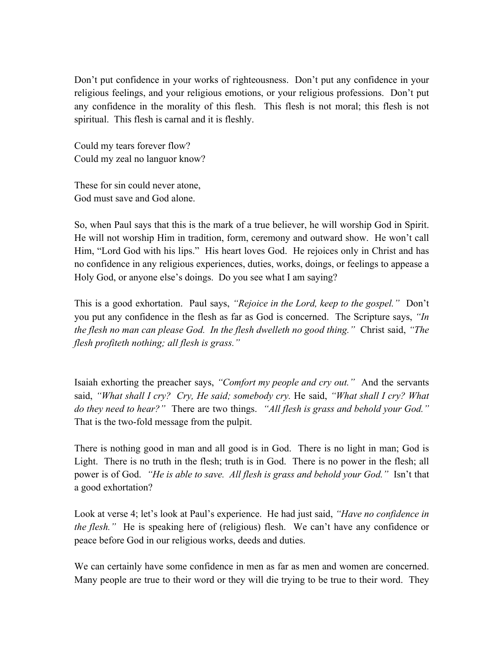Don't put confidence in your works of righteousness. Don't put any confidence in your religious feelings, and your religious emotions, or your religious professions. Don't put any confidence in the morality of this flesh. This flesh is not moral; this flesh is not spiritual. This flesh is carnal and it is fleshly.

Could my tears forever flow? Could my zeal no languor know?

These for sin could never atone, God must save and God alone.

So, when Paul says that this is the mark of a true believer, he will worship God in Spirit. He will not worship Him in tradition, form, ceremony and outward show. He won't call Him, "Lord God with his lips." His heart loves God. He rejoices only in Christ and has no confidence in any religious experiences, duties, works, doings, or feelings to appease a Holy God, or anyone else's doings. Do you see what I am saying?

This is a good exhortation. Paul says, *"Rejoice in the Lord, keep to the gospel."* Don't you put any confidence in the flesh as far as God is concerned. The Scripture says, *"In the flesh no man can please God. In the flesh dwelleth no good thing."* Christ said, *"The flesh profiteth nothing; all flesh is grass."*

Isaiah exhorting the preacher says, *"Comfort my people and cry out."* And the servants said, *"What shall I cry? Cry, He said; somebody cry.* He said, *"What shall I cry? What do they need to hear?"* There are two things. *"All flesh is grass and behold your God."* That is the two-fold message from the pulpit.

There is nothing good in man and all good is in God. There is no light in man; God is Light. There is no truth in the flesh; truth is in God. There is no power in the flesh; all power is of God. *"He is able to save. All flesh is grass and behold your God."* Isn't that a good exhortation?

Look at verse 4; let's look at Paul's experience. He had just said, *"Have no confidence in the flesh.*" He is speaking here of (religious) flesh. We can't have any confidence or peace before God in our religious works, deeds and duties.

We can certainly have some confidence in men as far as men and women are concerned. Many people are true to their word or they will die trying to be true to their word. They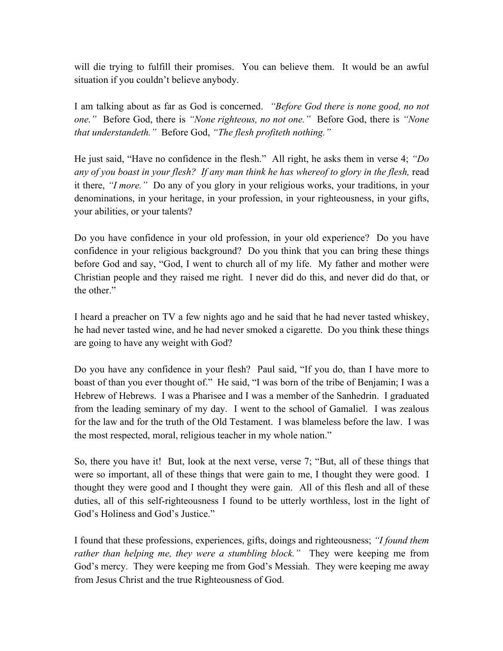will die trying to fulfill their promises. You can believe them. It would be an awful situation if you couldn't believe anybody.

I am talking about as far as God is concerned. *"Before God there is none good, no not one."* Before God, there is *"None righteous, no not one."* Before God, there is *"None that understandeth."* Before God, *"The flesh profiteth nothing."*

He just said, "Have no confidence in the flesh." All right, he asks them in verse 4; *"Do*  any of you boast in your flesh? If any man think he has whereof to glory in the flesh, read it there, *"I more."* Do any of you glory in your religious works, your traditions, in your denominations, in your heritage, in your profession, in your righteousness, in your gifts, your abilities, or your talents?

Do you have confidence in your old profession, in your old experience? Do you have confidence in your religious background? Do you think that you can bring these things before God and say, "God, I went to church all of my life. My father and mother were Christian people and they raised me right. I never did do this, and never did do that, or the other."

I heard a preacher on TV a few nights ago and he said that he had never tasted whiskey, he had never tasted wine, and he had never smoked a cigarette. Do you think these things are going to have any weight with God?

Do you have any confidence in your flesh? Paul said, "If you do, than I have more to boast of than you ever thought of." He said, "I was born of the tribe of Benjamin; I was a Hebrew of Hebrews. I was a Pharisee and I was a member of the Sanhedrin. I graduated from the leading seminary of my day. I went to the school of Gamaliel. I was zealous for the law and for the truth of the Old Testament. I was blameless before the law. I was the most respected, moral, religious teacher in my whole nation."

So, there you have it! But, look at the next verse, verse 7; "But, all of these things that were so important, all of these things that were gain to me, I thought they were good. I thought they were good and I thought they were gain. All of this flesh and all of these duties, all of this self-righteousness I found to be utterly worthless, lost in the light of God's Holiness and God's Justice."

I found that these professions, experiences, gifts, doings and righteousness; *"I found them rather than helping me, they were a stumbling block."* They were keeping me from God's mercy. They were keeping me from God's Messiah. They were keeping me away from Jesus Christ and the true Righteousness of God.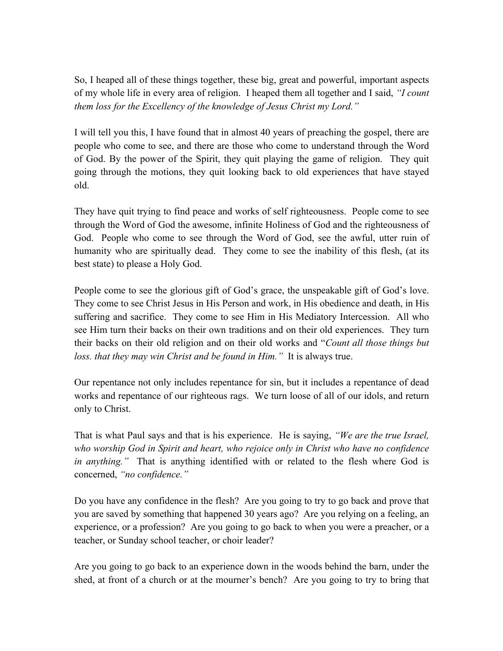So, I heaped all of these things together, these big, great and powerful, important aspects of my whole life in every area of religion. I heaped them all together and I said, *"I count them loss for the Excellency of the knowledge of Jesus Christ my Lord."* 

I will tell you this, I have found that in almost 40 years of preaching the gospel, there are people who come to see, and there are those who come to understand through the Word of God. By the power of the Spirit, they quit playing the game of religion. They quit going through the motions, they quit looking back to old experiences that have stayed old.

They have quit trying to find peace and works of self righteousness. People come to see through the Word of God the awesome, infinite Holiness of God and the righteousness of God. People who come to see through the Word of God, see the awful, utter ruin of humanity who are spiritually dead. They come to see the inability of this flesh, (at its best state) to please a Holy God.

People come to see the glorious gift of God's grace, the unspeakable gift of God's love. They come to see Christ Jesus in His Person and work, in His obedience and death, in His suffering and sacrifice. They come to see Him in His Mediatory Intercession. All who see Him turn their backs on their own traditions and on their old experiences. They turn their backs on their old religion and on their old works and "*Count all those things but loss. that they may win Christ and be found in Him."* It is always true.

Our repentance not only includes repentance for sin, but it includes a repentance of dead works and repentance of our righteous rags. We turn loose of all of our idols, and return only to Christ.

That is what Paul says and that is his experience. He is saying, *"We are the true Israel, who worship God in Spirit and heart, who rejoice only in Christ who have no confidence in anything."* That is anything identified with or related to the flesh where God is concerned, *"no confidence."*

Do you have any confidence in the flesh? Are you going to try to go back and prove that you are saved by something that happened 30 years ago? Are you relying on a feeling, an experience, or a profession? Are you going to go back to when you were a preacher, or a teacher, or Sunday school teacher, or choir leader?

Are you going to go back to an experience down in the woods behind the barn, under the shed, at front of a church or at the mourner's bench? Are you going to try to bring that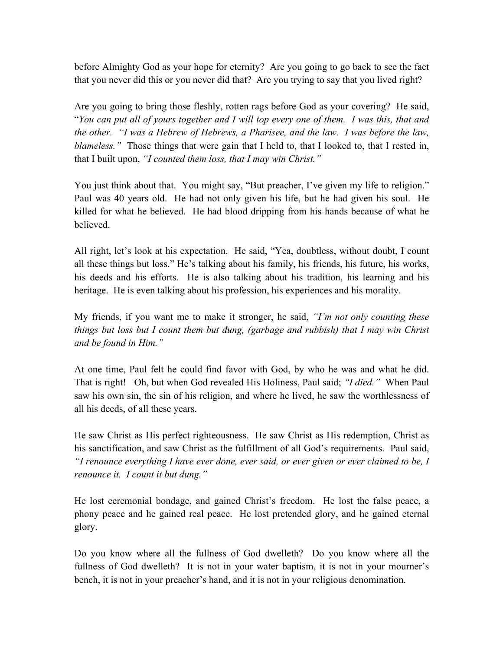before Almighty God as your hope for eternity? Are you going to go back to see the fact that you never did this or you never did that? Are you trying to say that you lived right?

Are you going to bring those fleshly, rotten rags before God as your covering? He said, "*You can put all of yours together and I will top every one of them. I was this, that and the other. "I was a Hebrew of Hebrews, a Pharisee, and the law. I was before the law, blameless.*" Those things that were gain that I held to, that I looked to, that I rested in, that I built upon, *"I counted them loss, that I may win Christ."*

You just think about that. You might say, "But preacher, I've given my life to religion." Paul was 40 years old. He had not only given his life, but he had given his soul. He killed for what he believed. He had blood dripping from his hands because of what he believed.

All right, let's look at his expectation. He said, "Yea, doubtless, without doubt, I count all these things but loss." He's talking about his family, his friends, his future, his works, his deeds and his efforts. He is also talking about his tradition, his learning and his heritage. He is even talking about his profession, his experiences and his morality.

My friends, if you want me to make it stronger, he said, *"I'm not only counting these things but loss but I count them but dung, (garbage and rubbish) that I may win Christ and be found in Him."*

At one time, Paul felt he could find favor with God, by who he was and what he did. That is right! Oh, but when God revealed His Holiness, Paul said; *"I died."* When Paul saw his own sin, the sin of his religion, and where he lived, he saw the worthlessness of all his deeds, of all these years.

He saw Christ as His perfect righteousness. He saw Christ as His redemption, Christ as his sanctification, and saw Christ as the fulfillment of all God's requirements. Paul said, *"I renounce everything I have ever done, ever said, or ever given or ever claimed to be, I renounce it. I count it but dung."* 

He lost ceremonial bondage, and gained Christ's freedom. He lost the false peace, a phony peace and he gained real peace. He lost pretended glory, and he gained eternal glory.

Do you know where all the fullness of God dwelleth? Do you know where all the fullness of God dwelleth? It is not in your water baptism, it is not in your mourner's bench, it is not in your preacher's hand, and it is not in your religious denomination.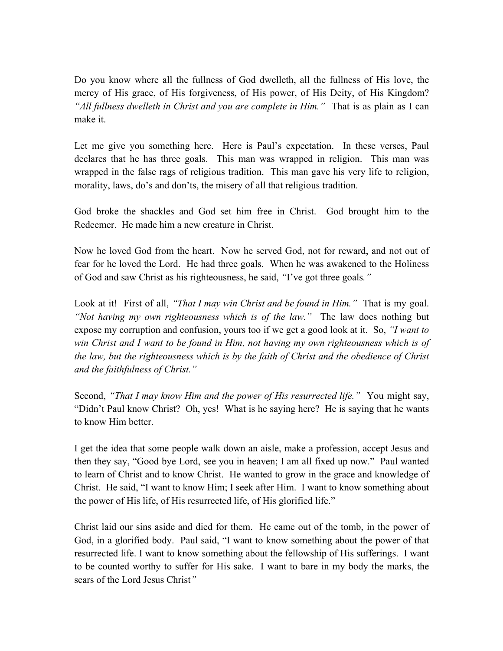Do you know where all the fullness of God dwelleth, all the fullness of His love, the mercy of His grace, of His forgiveness, of His power, of His Deity, of His Kingdom? *"All fullness dwelleth in Christ and you are complete in Him."* That is as plain as I can make it.

Let me give you something here. Here is Paul's expectation. In these verses, Paul declares that he has three goals. This man was wrapped in religion. This man was wrapped in the false rags of religious tradition. This man gave his very life to religion, morality, laws, do's and don'ts, the misery of all that religious tradition.

God broke the shackles and God set him free in Christ. God brought him to the Redeemer. He made him a new creature in Christ.

Now he loved God from the heart. Now he served God, not for reward, and not out of fear for he loved the Lord. He had three goals. When he was awakened to the Holiness of God and saw Christ as his righteousness, he said, *"*I've got three goals*."*

Look at it! First of all, *"That I may win Christ and be found in Him.*" That is my goal. *"Not having my own righteousness which is of the law."* The law does nothing but expose my corruption and confusion, yours too if we get a good look at it. So, *"I want to win Christ and I want to be found in Him, not having my own righteousness which is of the law, but the righteousness which is by the faith of Christ and the obedience of Christ and the faithfulness of Christ."*

Second, *"That I may know Him and the power of His resurrected life."* You might say, "Didn't Paul know Christ? Oh, yes! What is he saying here? He is saying that he wants to know Him better.

I get the idea that some people walk down an aisle, make a profession, accept Jesus and then they say, "Good bye Lord, see you in heaven; I am all fixed up now." Paul wanted to learn of Christ and to know Christ. He wanted to grow in the grace and knowledge of Christ. He said, "I want to know Him; I seek after Him. I want to know something about the power of His life, of His resurrected life, of His glorified life."

Christ laid our sins aside and died for them. He came out of the tomb, in the power of God, in a glorified body. Paul said, "I want to know something about the power of that resurrected life. I want to know something about the fellowship of His sufferings. I want to be counted worthy to suffer for His sake. I want to bare in my body the marks, the scars of the Lord Jesus Christ*"*